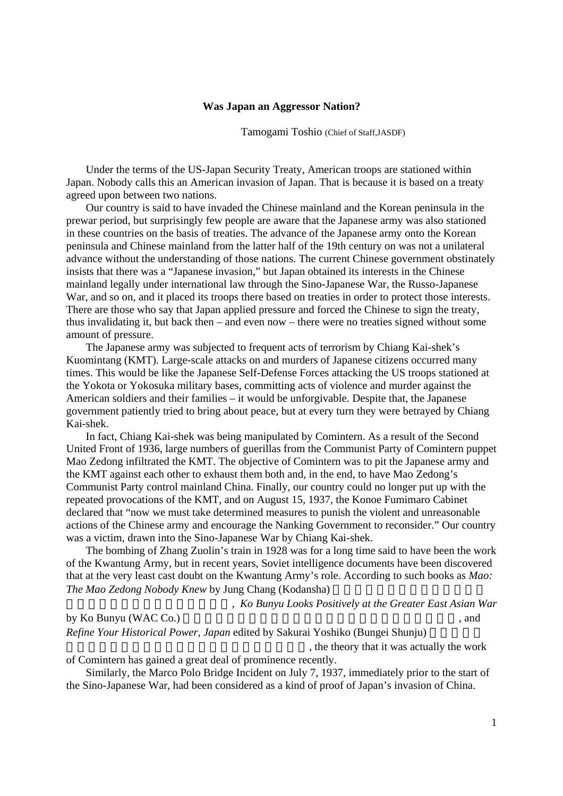## **Was Japan an Aggressor Nation?**

Tamogami Toshio (Chief of Staff,JASDF)

Under the terms of the US-Japan Security Treaty, American troops are stationed within Japan. Nobody calls this an American invasion of Japan. That is because it is based on a treaty agreed upon between two nations.

Our country is said to have invaded the Chinese mainland and the Korean peninsula in the prewar period, but surprisingly few people are aware that the Japanese army was also stationed in these countries on the basis of treaties. The advance of the Japanese army onto the Korean peninsula and Chinese mainland from the latter half of the 19th century on was not a unilateral advance without the understanding of those nations. The current Chinese government obstinately insists that there was a "Japanese invasion," but Japan obtained its interests in the Chinese mainland legally under international law through the Sino-Japanese War, the Russo-Japanese War, and so on, and it placed its troops there based on treaties in order to protect those interests. There are those who say that Japan applied pressure and forced the Chinese to sign the treaty, thus invalidating it, but back then – and even now – there were no treaties signed without some amount of pressure.

The Japanese army was subjected to frequent acts of terrorism by Chiang Kai-shek's Kuomintang (KMT). Large-scale attacks on and murders of Japanese citizens occurred many times. This would be like the Japanese Self-Defense Forces attacking the US troops stationed at the Yokota or Yokosuka military bases, committing acts of violence and murder against the American soldiers and their families – it would be unforgivable. Despite that, the Japanese government patiently tried to bring about peace, but at every turn they were betrayed by Chiang Kai-shek.

In fact, Chiang Kai-shek was being manipulated by Comintern. As a result of the Second United Front of 1936, large numbers of guerillas from the Communist Party of Comintern puppet Mao Zedong infiltrated the KMT. The objective of Comintern was to pit the Japanese army and the KMT against each other to exhaust them both and, in the end, to have Mao Zedong's Communist Party control mainland China. Finally, our country could no longer put up with the repeated provocations of the KMT, and on August 15, 1937, the Konoe Fumimaro Cabinet declared that "now we must take determined measures to punish the violent and unreasonable actions of the Chinese army and encourage the Nanking Government to reconsider." Our country was a victim, drawn into the Sino-Japanese War by Chiang Kai-shek.

The bombing of Zhang Zuolin's train in 1928 was for a long time said to have been the work of the Kwantung Army, but in recent years, Soviet intelligence documents have been discovered that at the very least cast doubt on the Kwantung Army's role. According to such books as *Mao: The Mao Zedong Nobody Knew by Jung Chang (Kodansha)* 

東)(ユン・チアン、講談社)」, *Ko Bunyu Looks Positively at the Greater East Asian War*

by Ko Bunyu (WAC Co.) 
(b) subsets and  $\overline{X}$  and  $\overline{X}$  and  $\overline{X}$  and  $\overline{X}$  and  $\overline{X}$  and  $\overline{X}$  and  $\overline{X}$  and  $\overline{X}$  and  $\overline{X}$  and  $\overline{X}$  and  $\overline{X}$  and  $\overline{X}$  and  $\overline{X}$  and  $\overline{X}$  and

*Refine Your Historical Power, Japan* edited by Sakurai Yoshiko (Bungei Shunju)

, the theory that it was actually the work

of Comintern has gained a great deal of prominence recently.

Similarly, the Marco Polo Bridge Incident on July 7, 1937, immediately prior to the start of the Sino-Japanese War, had been considered as a kind of proof of Japan's invasion of China.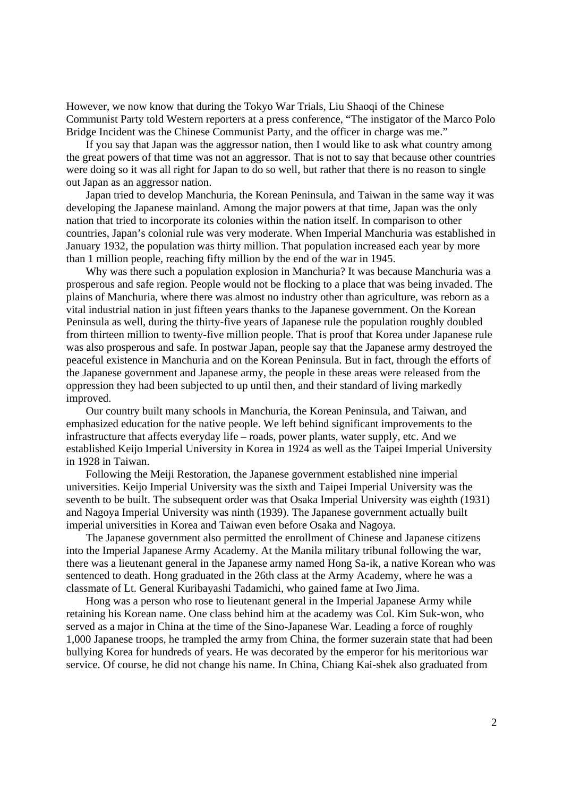However, we now know that during the Tokyo War Trials, Liu Shaoqi of the Chinese Communist Party told Western reporters at a press conference, "The instigator of the Marco Polo Bridge Incident was the Chinese Communist Party, and the officer in charge was me."

If you say that Japan was the aggressor nation, then I would like to ask what country among the great powers of that time was not an aggressor. That is not to say that because other countries were doing so it was all right for Japan to do so well, but rather that there is no reason to single out Japan as an aggressor nation.

Japan tried to develop Manchuria, the Korean Peninsula, and Taiwan in the same way it was developing the Japanese mainland. Among the major powers at that time, Japan was the only nation that tried to incorporate its colonies within the nation itself. In comparison to other countries, Japan's colonial rule was very moderate. When Imperial Manchuria was established in January 1932, the population was thirty million. That population increased each year by more than 1 million people, reaching fifty million by the end of the war in 1945.

Why was there such a population explosion in Manchuria? It was because Manchuria was a prosperous and safe region. People would not be flocking to a place that was being invaded. The plains of Manchuria, where there was almost no industry other than agriculture, was reborn as a vital industrial nation in just fifteen years thanks to the Japanese government. On the Korean Peninsula as well, during the thirty-five years of Japanese rule the population roughly doubled from thirteen million to twenty-five million people. That is proof that Korea under Japanese rule was also prosperous and safe. In postwar Japan, people say that the Japanese army destroyed the peaceful existence in Manchuria and on the Korean Peninsula. But in fact, through the efforts of the Japanese government and Japanese army, the people in these areas were released from the oppression they had been subjected to up until then, and their standard of living markedly improved.

Our country built many schools in Manchuria, the Korean Peninsula, and Taiwan, and emphasized education for the native people. We left behind significant improvements to the infrastructure that affects everyday life – roads, power plants, water supply, etc. And we established Keijo Imperial University in Korea in 1924 as well as the Taipei Imperial University in 1928 in Taiwan.

Following the Meiji Restoration, the Japanese government established nine imperial universities. Keijo Imperial University was the sixth and Taipei Imperial University was the seventh to be built. The subsequent order was that Osaka Imperial University was eighth (1931) and Nagoya Imperial University was ninth (1939). The Japanese government actually built imperial universities in Korea and Taiwan even before Osaka and Nagoya.

The Japanese government also permitted the enrollment of Chinese and Japanese citizens into the Imperial Japanese Army Academy. At the Manila military tribunal following the war, there was a lieutenant general in the Japanese army named Hong Sa-ik, a native Korean who was sentenced to death. Hong graduated in the 26th class at the Army Academy, where he was a classmate of Lt. General Kuribayashi Tadamichi, who gained fame at Iwo Jima.

Hong was a person who rose to lieutenant general in the Imperial Japanese Army while retaining his Korean name. One class behind him at the academy was Col. Kim Suk-won, who served as a major in China at the time of the Sino-Japanese War. Leading a force of roughly 1,000 Japanese troops, he trampled the army from China, the former suzerain state that had been bullying Korea for hundreds of years. He was decorated by the emperor for his meritorious war service. Of course, he did not change his name. In China, Chiang Kai-shek also graduated from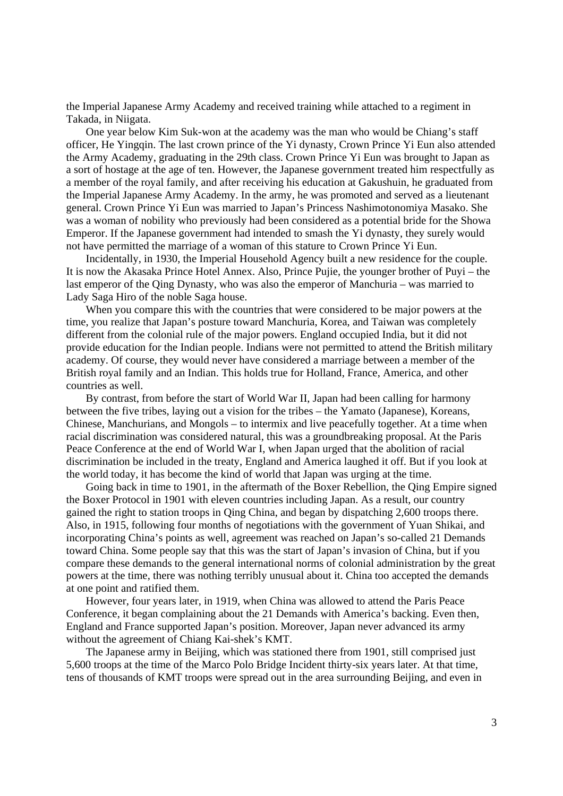the Imperial Japanese Army Academy and received training while attached to a regiment in Takada, in Niigata.

One year below Kim Suk-won at the academy was the man who would be Chiang's staff officer, He Yingqin. The last crown prince of the Yi dynasty, Crown Prince Yi Eun also attended the Army Academy, graduating in the 29th class. Crown Prince Yi Eun was brought to Japan as a sort of hostage at the age of ten. However, the Japanese government treated him respectfully as a member of the royal family, and after receiving his education at Gakushuin, he graduated from the Imperial Japanese Army Academy. In the army, he was promoted and served as a lieutenant general. Crown Prince Yi Eun was married to Japan's Princess Nashimotonomiya Masako. She was a woman of nobility who previously had been considered as a potential bride for the Showa Emperor. If the Japanese government had intended to smash the Yi dynasty, they surely would not have permitted the marriage of a woman of this stature to Crown Prince Yi Eun.

Incidentally, in 1930, the Imperial Household Agency built a new residence for the couple. It is now the Akasaka Prince Hotel Annex. Also, Prince Pujie, the younger brother of Puyi – the last emperor of the Qing Dynasty, who was also the emperor of Manchuria – was married to Lady Saga Hiro of the noble Saga house.

When you compare this with the countries that were considered to be major powers at the time, you realize that Japan's posture toward Manchuria, Korea, and Taiwan was completely different from the colonial rule of the major powers. England occupied India, but it did not provide education for the Indian people. Indians were not permitted to attend the British military academy. Of course, they would never have considered a marriage between a member of the British royal family and an Indian. This holds true for Holland, France, America, and other countries as well.

By contrast, from before the start of World War II, Japan had been calling for harmony between the five tribes, laying out a vision for the tribes – the Yamato (Japanese), Koreans, Chinese, Manchurians, and Mongols – to intermix and live peacefully together. At a time when racial discrimination was considered natural, this was a groundbreaking proposal. At the Paris Peace Conference at the end of World War I, when Japan urged that the abolition of racial discrimination be included in the treaty, England and America laughed it off. But if you look at the world today, it has become the kind of world that Japan was urging at the time.

Going back in time to 1901, in the aftermath of the Boxer Rebellion, the Qing Empire signed the Boxer Protocol in 1901 with eleven countries including Japan. As a result, our country gained the right to station troops in Qing China, and began by dispatching 2,600 troops there. Also, in 1915, following four months of negotiations with the government of Yuan Shikai, and incorporating China's points as well, agreement was reached on Japan's so-called 21 Demands toward China. Some people say that this was the start of Japan's invasion of China, but if you compare these demands to the general international norms of colonial administration by the great powers at the time, there was nothing terribly unusual about it. China too accepted the demands at one point and ratified them.

However, four years later, in 1919, when China was allowed to attend the Paris Peace Conference, it began complaining about the 21 Demands with America's backing. Even then, England and France supported Japan's position. Moreover, Japan never advanced its army without the agreement of Chiang Kai-shek's KMT.

The Japanese army in Beijing, which was stationed there from 1901, still comprised just 5,600 troops at the time of the Marco Polo Bridge Incident thirty-six years later. At that time, tens of thousands of KMT troops were spread out in the area surrounding Beijing, and even in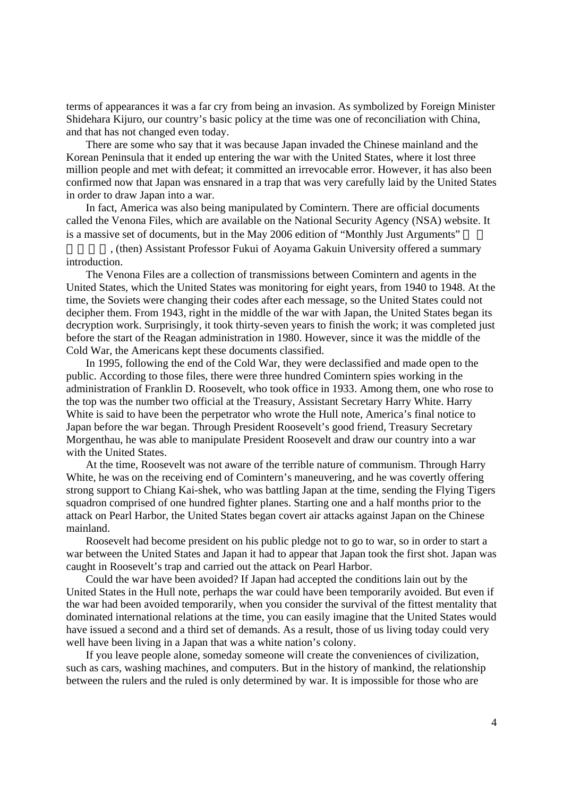terms of appearances it was a far cry from being an invasion. As symbolized by Foreign Minister Shidehara Kijuro, our country's basic policy at the time was one of reconciliation with China, and that has not changed even today.

There are some who say that it was because Japan invaded the Chinese mainland and the Korean Peninsula that it ended up entering the war with the United States, where it lost three million people and met with defeat; it committed an irrevocable error. However, it has also been confirmed now that Japan was ensnared in a trap that was very carefully laid by the United States in order to draw Japan into a war.

In fact, America was also being manipulated by Comintern. There are official documents called the Venona Files, which are available on the National Security Agency (NSA) website. It is a massive set of documents, but in the May 2006 edition of "Monthly Just Arguments"

, (then) Assistant Professor Fukui of Aoyama Gakuin University offered a summary introduction.

The Venona Files are a collection of transmissions between Comintern and agents in the United States, which the United States was monitoring for eight years, from 1940 to 1948. At the time, the Soviets were changing their codes after each message, so the United States could not decipher them. From 1943, right in the middle of the war with Japan, the United States began its decryption work. Surprisingly, it took thirty-seven years to finish the work; it was completed just before the start of the Reagan administration in 1980. However, since it was the middle of the Cold War, the Americans kept these documents classified.

In 1995, following the end of the Cold War, they were declassified and made open to the public. According to those files, there were three hundred Comintern spies working in the administration of Franklin D. Roosevelt, who took office in 1933. Among them, one who rose to the top was the number two official at the Treasury, Assistant Secretary Harry White. Harry White is said to have been the perpetrator who wrote the Hull note, America's final notice to Japan before the war began. Through President Roosevelt's good friend, Treasury Secretary Morgenthau, he was able to manipulate President Roosevelt and draw our country into a war with the United States.

At the time, Roosevelt was not aware of the terrible nature of communism. Through Harry White, he was on the receiving end of Comintern's maneuvering, and he was covertly offering strong support to Chiang Kai-shek, who was battling Japan at the time, sending the Flying Tigers squadron comprised of one hundred fighter planes. Starting one and a half months prior to the attack on Pearl Harbor, the United States began covert air attacks against Japan on the Chinese mainland.

Roosevelt had become president on his public pledge not to go to war, so in order to start a war between the United States and Japan it had to appear that Japan took the first shot. Japan was caught in Roosevelt's trap and carried out the attack on Pearl Harbor.

Could the war have been avoided? If Japan had accepted the conditions lain out by the United States in the Hull note, perhaps the war could have been temporarily avoided. But even if the war had been avoided temporarily, when you consider the survival of the fittest mentality that dominated international relations at the time, you can easily imagine that the United States would have issued a second and a third set of demands. As a result, those of us living today could very well have been living in a Japan that was a white nation's colony.

If you leave people alone, someday someone will create the conveniences of civilization, such as cars, washing machines, and computers. But in the history of mankind, the relationship between the rulers and the ruled is only determined by war. It is impossible for those who are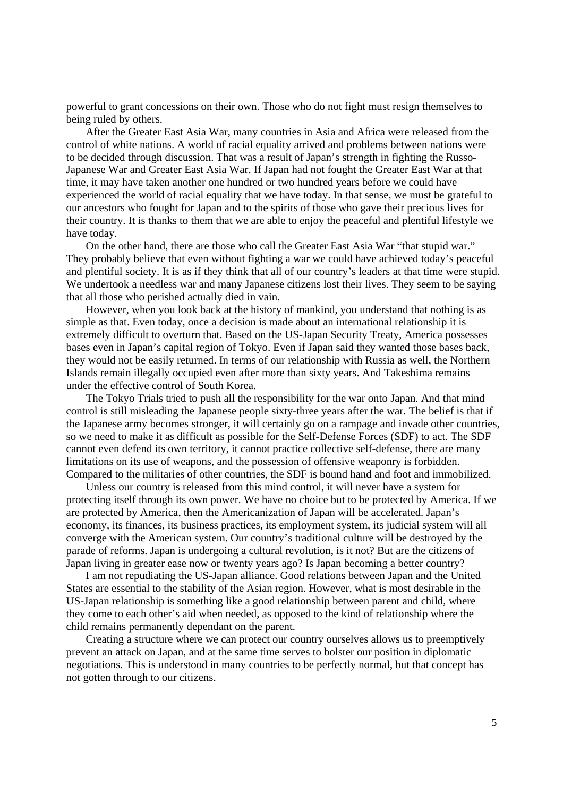powerful to grant concessions on their own. Those who do not fight must resign themselves to being ruled by others.

After the Greater East Asia War, many countries in Asia and Africa were released from the control of white nations. A world of racial equality arrived and problems between nations were to be decided through discussion. That was a result of Japan's strength in fighting the Russo-Japanese War and Greater East Asia War. If Japan had not fought the Greater East War at that time, it may have taken another one hundred or two hundred years before we could have experienced the world of racial equality that we have today. In that sense, we must be grateful to our ancestors who fought for Japan and to the spirits of those who gave their precious lives for their country. It is thanks to them that we are able to enjoy the peaceful and plentiful lifestyle we have today.

On the other hand, there are those who call the Greater East Asia War "that stupid war." They probably believe that even without fighting a war we could have achieved today's peaceful and plentiful society. It is as if they think that all of our country's leaders at that time were stupid. We undertook a needless war and many Japanese citizens lost their lives. They seem to be saying that all those who perished actually died in vain.

However, when you look back at the history of mankind, you understand that nothing is as simple as that. Even today, once a decision is made about an international relationship it is extremely difficult to overturn that. Based on the US-Japan Security Treaty, America possesses bases even in Japan's capital region of Tokyo. Even if Japan said they wanted those bases back, they would not be easily returned. In terms of our relationship with Russia as well, the Northern Islands remain illegally occupied even after more than sixty years. And Takeshima remains under the effective control of South Korea.

The Tokyo Trials tried to push all the responsibility for the war onto Japan. And that mind control is still misleading the Japanese people sixty-three years after the war. The belief is that if the Japanese army becomes stronger, it will certainly go on a rampage and invade other countries, so we need to make it as difficult as possible for the Self-Defense Forces (SDF) to act. The SDF cannot even defend its own territory, it cannot practice collective self-defense, there are many limitations on its use of weapons, and the possession of offensive weaponry is forbidden. Compared to the militaries of other countries, the SDF is bound hand and foot and immobilized.

Unless our country is released from this mind control, it will never have a system for protecting itself through its own power. We have no choice but to be protected by America. If we are protected by America, then the Americanization of Japan will be accelerated. Japan's economy, its finances, its business practices, its employment system, its judicial system will all converge with the American system. Our country's traditional culture will be destroyed by the parade of reforms. Japan is undergoing a cultural revolution, is it not? But are the citizens of Japan living in greater ease now or twenty years ago? Is Japan becoming a better country?

I am not repudiating the US-Japan alliance. Good relations between Japan and the United States are essential to the stability of the Asian region. However, what is most desirable in the US-Japan relationship is something like a good relationship between parent and child, where they come to each other's aid when needed, as opposed to the kind of relationship where the child remains permanently dependant on the parent.

Creating a structure where we can protect our country ourselves allows us to preemptively prevent an attack on Japan, and at the same time serves to bolster our position in diplomatic negotiations. This is understood in many countries to be perfectly normal, but that concept has not gotten through to our citizens.